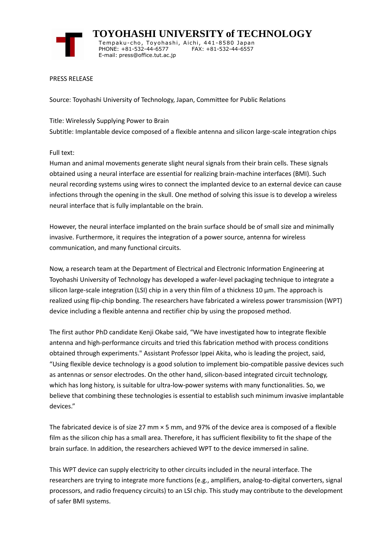

 **TOYOHASHI UNIVERSITY of TECHNOLOGY** Tempaku-cho, Toyohashi, Aichi, 441-8580 Japan<br>PHONE: +81-532-44-6577 FAX: +81-532-44-6557 PHONE: +81-532-44-6577 E-mail: press@office.tut.ac.jp

## PRESS RELEASE

Source: Toyohashi University of Technology, Japan, Committee for Public Relations

Title: Wirelessly Supplying Power to Brain Subtitle: Implantable device composed of a flexible antenna and silicon large-scale integration chips

Full text:

Human and animal movements generate slight neural signals from their brain cells. These signals obtained using a neural interface are essential for realizing brain-machine interfaces (BMI). Such neural recording systems using wires to connect the implanted device to an external device can cause infections through the opening in the skull. One method of solving this issue is to develop a wireless neural interface that is fully implantable on the brain.

However, the neural interface implanted on the brain surface should be of small size and minimally invasive. Furthermore, it requires the integration of a power source, antenna for wireless communication, and many functional circuits.

Now, a research team at the Department of Electrical and Electronic Information Engineering at Toyohashi University of Technology has developed a wafer-level packaging technique to integrate a silicon large-scale integration (LSI) chip in a very thin film of a thickness 10  $\mu$ m. The approach is realized using flip-chip bonding. The researchers have fabricated a wireless power transmission (WPT) device including a flexible antenna and rectifier chip by using the proposed method.

The first author PhD candidate Kenji Okabe said, "We have investigated how to integrate flexible antenna and high-performance circuits and tried this fabrication method with process conditions obtained through experiments." Assistant Professor Ippei Akita, who is leading the project, said, "Using flexible device technology is a good solution to implement bio-compatible passive devices such as antennas or sensor electrodes. On the other hand, silicon-based integrated circuit technology, which has long history, is suitable for ultra-low-power systems with many functionalities. So, we believe that combining these technologies is essential to establish such minimum invasive implantable devices."

The fabricated device is of size 27 mm × 5 mm, and 97% of the device area is composed of a flexible film as the silicon chip has a small area. Therefore, it has sufficient flexibility to fit the shape of the brain surface. In addition, the researchers achieved WPT to the device immersed in saline.

This WPT device can supply electricity to other circuits included in the neural interface. The researchers are trying to integrate more functions (e.g., amplifiers, analog-to-digital converters, signal processors, and radio frequency circuits) to an LSI chip. This study may contribute to the development of safer BMI systems.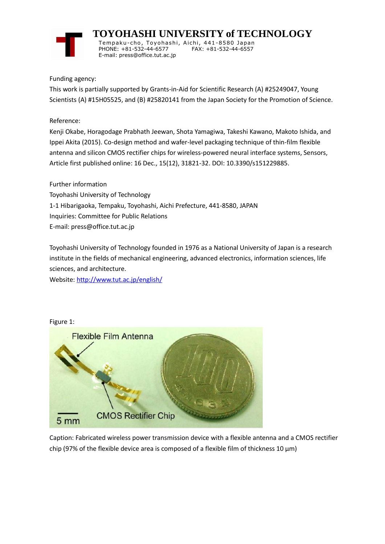

 **TOYOHASHI UNIVERSITY of TECHNOLOGY** Temp aku-cho , To y oha s hi , Ai chi , 441-8580 Jap an PHONE: +81-532-44-6577 E-mail: press@office.tut.ac.jp

Funding agency:

This work is partially supported by Grants-in-Aid for Scientific Research (A) #25249047, Young Scientists (A) #15H05525, and (B) #25820141 from the Japan Society for the Promotion of Science.

Reference:

Kenji Okabe, Horagodage Prabhath Jeewan, Shota Yamagiwa, Takeshi Kawano, Makoto Ishida, and Ippei Akita (2015). Co-design method and wafer-level packaging technique of thin-film flexible antenna and silicon CMOS rectifier chips for wireless-powered neural interface systems, Sensors, Article first published online: 16 Dec., 15(12), 31821-32. DOI: 10.3390/s151229885.

Further information Toyohashi University of Technology 1-1 Hibarigaoka, Tempaku, Toyohashi, Aichi Prefecture, 441-8580, JAPAN Inquiries: Committee for Public Relations E-mail: press@office.tut.ac.jp

Toyohashi University of Technology founded in 1976 as a National University of Japan is a research institute in the fields of mechanical engineering, advanced electronics, information sciences, life sciences, and architecture.

Website[: http://www.tut.ac.jp/english/](https://www.tut.ac.jp/english/)



Caption: Fabricated wireless power transmission device with a flexible antenna and a CMOS rectifier chip (97% of the flexible device area is composed of a flexible film of thickness 10 μm)